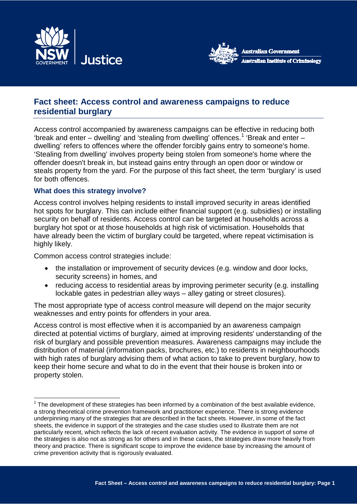



# **Fact sheet: Access control and awareness campaigns to reduce residential burglary**

Access control accompanied by awareness campaigns can be effective in reducing both 'break and enter – dwelling' and 'stealing from dwelling' offences.<sup>[1](#page-0-0)</sup> 'Break and enter – dwelling' refers to offences where the offender forcibly gains entry to someone's home. 'Stealing from dwelling' involves property being stolen from someone's home where the offender doesn't break in, but instead gains entry through an open door or window or steals property from the yard. For the purpose of this fact sheet, the term 'burglary' is used for both offences.

# **What does this strategy involve?**

Access control involves helping residents to install improved security in areas identified hot spots for burglary. This can include either financial support (e.g. subsidies) or installing security on behalf of residents. Access control can be targeted at households across a burglary hot spot or at those households at high risk of victimisation. Households that have already been the victim of burglary could be targeted, where repeat victimisation is highly likely.

Common access control strategies include:

 $\overline{a}$ 

- the installation or improvement of security devices (e.g. window and door locks, security screens) in homes, and
- reducing access to residential areas by improving perimeter security (e.g. installing lockable gates in pedestrian alley ways – alley gating or street closures).

The most appropriate type of access control measure will depend on the major security weaknesses and entry points for offenders in your area.

Access control is most effective when it is accompanied by an awareness campaign directed at potential victims of burglary, aimed at improving residents' understanding of the risk of burglary and possible prevention measures. Awareness campaigns may include the distribution of material (information packs, brochures, etc.) to residents in neighbourhoods with high rates of burglary advising them of what action to take to prevent burglary, how to keep their home secure and what to do in the event that their house is broken into or property stolen.

<span id="page-0-0"></span> $1$  The development of these strategies has been informed by a combination of the best available evidence, a strong theoretical crime prevention framework and practitioner experience. There is strong evidence underpinning many of the strategies that are described in the fact sheets. However, in some of the fact sheets, the evidence in support of the strategies and the case studies used to illustrate them are not particularly recent, which reflects the lack of recent evaluation activity. The evidence in support of some of the strategies is also not as strong as for others and in these cases, the strategies draw more heavily from theory and practice. There is significant scope to improve the evidence base by increasing the amount of crime prevention activity that is rigorously evaluated.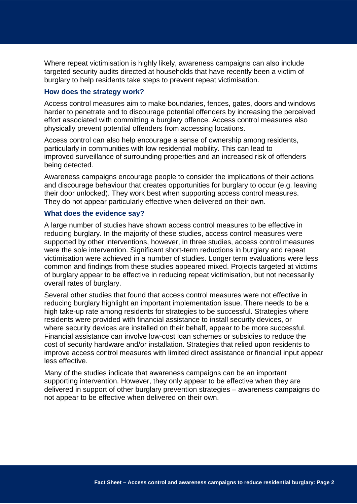Where repeat victimisation is highly likely, awareness campaigns can also include targeted security audits directed at households that have recently been a victim of burglary to help residents take steps to prevent repeat victimisation.

### **How does the strategy work?**

Access control measures aim to make boundaries, fences, gates, doors and windows harder to penetrate and to discourage potential offenders by increasing the perceived effort associated with committing a burglary offence. Access control measures also physically prevent potential offenders from accessing locations.

Access control can also help encourage a sense of ownership among residents, particularly in communities with low residential mobility. This can lead to improved surveillance of surrounding properties and an increased risk of offenders being detected.

Awareness campaigns encourage people to consider the implications of their actions and discourage behaviour that creates opportunities for burglary to occur (e.g. leaving their door unlocked). They work best when supporting access control measures. They do not appear particularly effective when delivered on their own.

### **What does the evidence say?**

A large number of studies have shown access control measures to be effective in reducing burglary. In the majority of these studies, access control measures were supported by other interventions, however, in three studies, access control measures were the sole intervention. Significant short-term reductions in burglary and repeat victimisation were achieved in a number of studies. Longer term evaluations were less common and findings from these studies appeared mixed. Projects targeted at victims of burglary appear to be effective in reducing repeat victimisation, but not necessarily overall rates of burglary.

Several other studies that found that access control measures were not effective in reducing burglary highlight an important implementation issue. There needs to be a high take-up rate among residents for strategies to be successful. Strategies where residents were provided with financial assistance to install security devices, or where security devices are installed on their behalf, appear to be more successful. Financial assistance can involve low-cost loan schemes or subsidies to reduce the cost of security hardware and/or installation. Strategies that relied upon residents to improve access control measures with limited direct assistance or financial input appear less effective.

Many of the studies indicate that awareness campaigns can be an important supporting intervention. However, they only appear to be effective when they are delivered in support of other burglary prevention strategies – awareness campaigns do not appear to be effective when delivered on their own.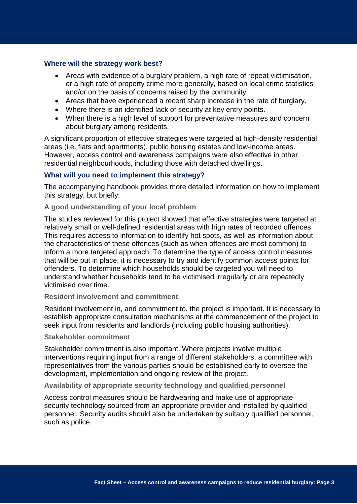### **Where will the strategy work best?**

- Areas with evidence of a burglary problem, a high rate of repeat victimisation, or a high rate of property crime more generally, based on local crime statistics and/or on the basis of concerns raised by the community.
- Areas that have experienced a recent sharp increase in the rate of burglary.
- Where there is an identified lack of security at key entry points.
- When there is a high level of support for preventative measures and concern about burglary among residents.

A significant proportion of effective strategies were targeted at high-density residential areas (i.e. flats and apartments), public housing estates and low-income areas. However, access control and awareness campaigns were also effective in other residential neighbourhoods, including those with detached dwellings.

### **What will you need to implement this strategy?**

The accompanying handbook provides more detailed information on how to implement this strategy, but briefly:

### **A good understanding of your local problem**

The studies reviewed for this project showed that effective strategies were targeted at relatively small or well-defined residential areas with high rates of recorded offences. This requires access to information to identify hot spots, as well as information about the characteristics of these offences (such as when offences are most common) to inform a more targeted approach. To determine the type of access control measures that will be put in place, it is necessary to try and identify common access points for offenders. To determine which households should be targeted you will need to understand whether households tend to be victimised irregularly or are repeatedly victimised over time.

#### **Resident involvement and commitment**

Resident involvement in, and commitment to, the project is important. It is necessary to establish appropriate consultation mechanisms at the commencement of the project to seek input from residents and landlords (including public housing authorities).

#### **Stakeholder commitment**

Stakeholder commitment is also important. Where projects involve multiple interventions requiring input from a range of different stakeholders, a committee with representatives from the various parties should be established early to oversee the development, implementation and ongoing review of the project.

#### **Availability of appropriate security technology and qualified personnel**

Access control measures should be hardwearing and make use of appropriate security technology sourced from an appropriate provider and installed by qualified personnel. Security audits should also be undertaken by suitably qualified personnel, such as police.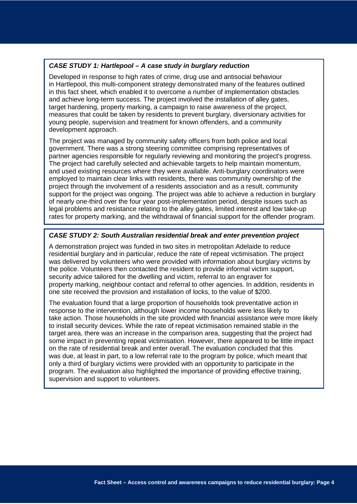### *CASE STUDY 1: Hartlepool – A case study in burglary reduction*

Developed in response to high rates of crime, drug use and antisocial behaviour in Hartlepool, this multi-component strategy demonstrated many of the features outlined in this fact sheet, which enabled it to overcome a number of implementation obstacles and achieve long-term success. The project involved the installation of alley gates, target hardening, property marking, a campaign to raise awareness of the project, measures that could be taken by residents to prevent burglary, diversionary activities for young people, supervision and treatment for known offenders, and a community development approach.

The project was managed by community safety officers from both police and local government. There was a strong steering committee comprising representatives of partner agencies responsible for regularly reviewing and monitoring the project's progress. The project had carefully selected and achievable targets to help maintain momentum, and used existing resources where they were available. Anti-burglary coordinators were employed to maintain clear links with residents, there was community ownership of the project through the involvement of a residents association and as a result, community support for the project was ongoing. The project was able to achieve a reduction in burglary of nearly one-third over the four year post-implementation period, despite issues such as legal problems and resistance relating to the alley gates, limited interest and low take-up rates for property marking, and the withdrawal of financial support for the offender program.

### *CASE STUDY 2: South Australian residential break and enter prevention project*

A demonstration project was funded in two sites in metropolitan Adelaide to reduce residential burglary and in particular, reduce the rate of repeat victimisation. The project was delivered by volunteers who were provided with information about burglary victims by the police. Volunteers then contacted the resident to provide informal victim support, security advice tailored for the dwelling and victim, referral to an engraver for property marking, neighbour contact and referral to other agencies. In addition, residents in one site received the provision and installation of locks, to the value of \$200.

The evaluation found that a large proportion of households took preventative action in response to the intervention, although lower income households were less likely to take action. Those households in the site provided with financial assistance were more likely to install security devices. While the rate of repeat victimisation remained stable in the target area, there was an increase in the comparison area, suggesting that the project had some impact in preventing repeat victimisation. However, there appeared to be little impact on the rate of residential break and enter overall. The evaluation concluded that this was due, at least in part, to a low referral rate to the program by police, which meant that only a third of burglary victims were provided with an opportunity to participate in the program. The evaluation also highlighted the importance of providing effective training, supervision and support to volunteers.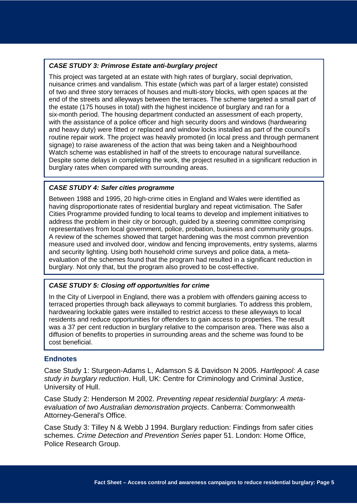# *CASE STUDY 3: Primrose Estate anti-burglary project*

This project was targeted at an estate with high rates of burglary, social deprivation, nuisance crimes and vandalism. This estate (which was part of a larger estate) consisted of two and three story terraces of houses and multi-story blocks, with open spaces at the end of the streets and alleyways between the terraces. The scheme targeted a small part of the estate (175 houses in total) with the highest incidence of burglary and ran for a six-month period. The housing department conducted an assessment of each property, with the assistance of a police officer and high security doors and windows (hardwearing and heavy duty) were fitted or replaced and window locks installed as part of the council's routine repair work. The project was heavily promoted (in local press and through permanent signage) to raise awareness of the action that was being taken and a Neighbourhood Watch scheme was established in half of the streets to encourage natural surveillance. Despite some delays in completing the work, the project resulted in a significant reduction in burglary rates when compared with surrounding areas.

### *CASE STUDY 4: Safer cities programme*

Between 1988 and 1995, 20 high-crime cities in England and Wales were identified as having disproportionate rates of residential burglary and repeat victimisation. The Safer Cities Programme provided funding to local teams to develop and implement initiatives to address the problem in their city or borough, guided by a steering committee comprising representatives from local government, police, probation, business and community groups. A review of the schemes showed that target hardening was the most common prevention measure used and involved door, window and fencing improvements, entry systems, alarms and security lighting. Using both household crime surveys and police data, a metaevaluation of the schemes found that the program had resulted in a significant reduction in burglary. Not only that, but the program also proved to be cost-effective.

# *CASE STUDY 5: Closing off opportunities for crime*

In the City of Liverpool in England, there was a problem with offenders gaining access to terraced properties through back alleyways to commit burglaries. To address this problem, hardwearing lockable gates were installed to restrict access to these alleyways to local residents and reduce opportunities for offenders to gain access to properties. The result was a 37 per cent reduction in burglary relative to the comparison area. There was also a diffusion of benefits to properties in surrounding areas and the scheme was found to be cost beneficial.

# **Endnotes**

Case Study 1: Sturgeon-Adams L, Adamson S & Davidson N 2005. *Hartlepool: A case study in burglary reduction*. Hull, UK: Centre for Criminology and Criminal Justice, University of Hull.

Case Study 2: Henderson M 2002. *Preventing repeat residential burglary: A metaevaluation of two Australian demonstration projects*. Canberra: Commonwealth Attorney-General's Office.

Case Study 3: Tilley N & Webb J 1994. Burglary reduction: Findings from safer cities schemes. *Crime Detection and Prevention Series* paper 51. London: Home Office, Police Research Group.